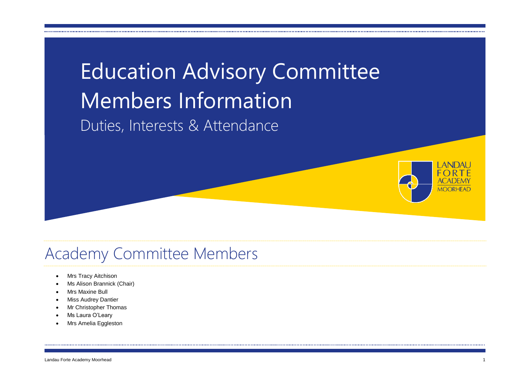# Education Advisory Committee Members Information Duties, Interests & Attendance



### Academy Committee Members

- Mrs Tracy Aitchison
- Ms Alison Brannick (Chair)
- Mrs Maxine Bull
- Miss Audrey Dantier
- Mr Christopher Thomas
- Ms Laura O'Leary
- Mrs Amelia Eggleston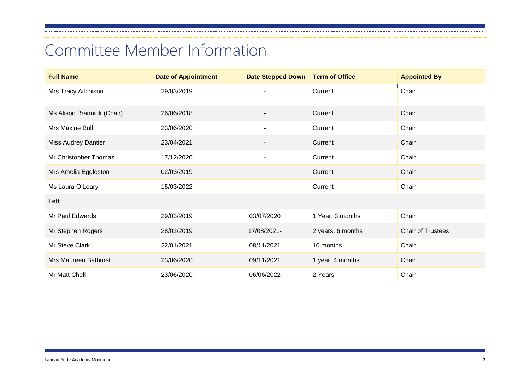# Committee Member Information

| <b>Full Name</b>           | <b>Date of Appointment</b> | Date Stepped Down        | <b>Term of Office</b> | <b>Appointed By</b>      |
|----------------------------|----------------------------|--------------------------|-----------------------|--------------------------|
| Mrs Tracy Aitchison        | 29/03/2019                 |                          | Current               | Chair                    |
| Ms Alison Brannick (Chair) | 26/06/2018                 |                          | Current               | Chair                    |
| Mrs Maxine Bull            | 23/06/2020                 | $\overline{\phantom{a}}$ | Current               | Chair                    |
| <b>Miss Audrey Dantier</b> | 23/04/2021                 |                          | Current               | Chair                    |
| Mr Christopher Thomas      | 17/12/2020                 | $\overline{a}$           | Current               | Chair                    |
| Mrs Amelia Eggleston       | 02/03/2019                 |                          | Current               | Chair                    |
| Ms Laura O'Leary           | 15/03/2022                 | $\overline{\phantom{a}}$ | Current               | Chair                    |
| Left                       |                            |                          |                       |                          |
| Mr Paul Edwards            | 29/03/2019                 | 03/07/2020               | 1 Year, 3 months      | Chair                    |
| Mr Stephen Rogers          | 28/02/2019                 | 17/08/2021-              | 2 years, 6 months     | <b>Chair of Trustees</b> |
| Mr Steve Clark             | 22/01/2021                 | 08/11/2021               | 10 months             | Chair                    |
| Mrs Maureen Bathurst       | 23/06/2020                 | 09/11/2021               | 1 year, 4 months      | Chair                    |
| Mr Matt Chell              | 23/06/2020                 | 06/06/2022               | 2 Years               | Chair                    |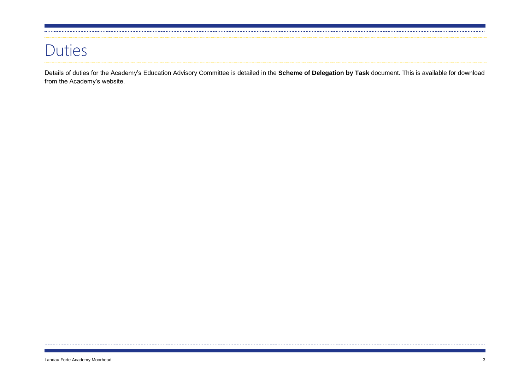#### Duties

Details of duties for the Academy's Education Advisory Committee is detailed in the **Scheme of Delegation by Task** document. This is available for download from the Academy's website.

......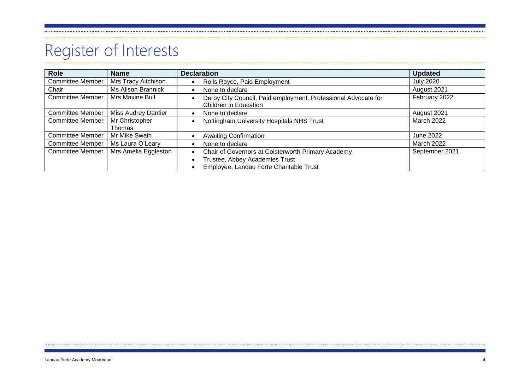# Register of Interests

| <b>Role</b>             | <b>Name</b>                | <b>Declaration</b>                                                                      | <b>Updated</b>    |
|-------------------------|----------------------------|-----------------------------------------------------------------------------------------|-------------------|
| <b>Committee Member</b> | Mrs Tracy Aitchison        | Rolls Royce, Paid Employment                                                            | <b>July 2020</b>  |
| Chair                   | Ms Alison Brannick         | None to declare                                                                         | August 2021       |
| <b>Committee Member</b> | Mrs Maxine Bull            | Derby City Council, Paid employment. Professional Advocate for<br>Children in Education | February 2022     |
| <b>Committee Member</b> | <b>Miss Audrey Dantier</b> | None to declare                                                                         | August 2021       |
| <b>Committee Member</b> | Mr Christopher             | Nottingham University Hospitals NHS Trust                                               | March 2022        |
|                         | <b>Thomas</b>              |                                                                                         |                   |
| <b>Committee Member</b> | Mr Mike Swain              | <b>Awaiting Confirmation</b>                                                            | <b>June 2022</b>  |
| <b>Committee Member</b> | Ms Laura O'Leary           | None to declare                                                                         | <b>March 2022</b> |
| <b>Committee Member</b> | Mrs Amelia Eggleston       | Chair of Governors at Colsterworth Primary Academy                                      | September 2021    |
|                         |                            | Trustee, Abbey Academies Trust                                                          |                   |
|                         |                            | Employee, Landau Forte Charitable Trust                                                 |                   |